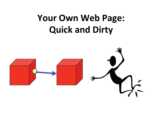#### Your Own Web Page: **Quick and Dirty**

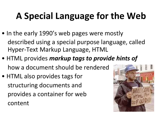# **A Special Language for the Web**

- In the early 1990's web pages were mostly described using a special purpose language, called Hyper-Text Markup Language, HTML
- HTML provides *markup* tags to provide hints of how a document should be rendered
- HTML also provides tags for structuring documents and provides a container for web content

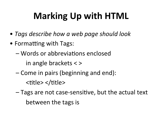# **Marking Up with HTML**

- Tags describe how a web page should look
- Formatting with Tags:
	- Words or abbreviations enclosed

in angle brackets  $\langle \rangle$ 

– Come in pairs (beginning and end):

<title> </title>

 $-$  Tags are not case-sensitive, but the actual text between the tags is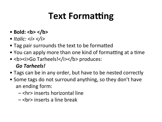## **Text Formatting**

- $\bullet$  Bold:  $**5**$
- Italic:  $\langle i \rangle \langle j \rangle$
- Tag pair surrounds the text to be formatted
- You can apply more than one kind of formatting at a time
- <b><i>Go Tarheels!</i></b> produces:

#### *Go Tarheels!*

- Tags can be in any order, but have to be nested correctly
- Some tags do not surround anything, so they don't have an ending form:
	- $-$  <hr> inserts horizontal line
	- $-$  <br  $\ge$  inserts a line break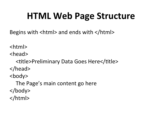#### **HTML Web Page Structure**

Begins with  $\lt$ html $>$  and ends with  $\lt$ /html $>$ 

<html> 

<head> 

<title>Preliminary Data Goes Here</title> </head> <body> The Page's main content go here

</body> 

</html>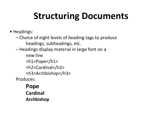## **Structuring Documents**

- Headings:
	- Choice of eight levels of heading tags to produce headings, subheadings, etc.
	- $-$  Headings display material in large font on a
	- new line <h1>Pope</h1> <h2>Cardinal</h2> <h3>Archbishop</h3> Produces:

**Pope Cardinal Archbishop**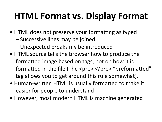## **HTML Format vs. Display Format**

- HTML does not preserve your formatting as typed
	- – Successive lines may be joined
	- Unexpected breaks my be introduced
- HTML source tells the browser how to produce the formatted image based on tags, not on how it is formatted in the file (The  $\langle$ pre $\rangle$   $\langle$ /pre $\rangle$  "preformatted" tag allows you to get around this rule somewhat).
- Human-written HTML is usually formatted to make it easier for people to understand
- However, most modern HTML is machine generated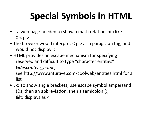# **Special Symbols in HTML**

- If a web page needed to show a math relationship like  $0 < p > r$
- The browser would interpret  $< p >$  as a paragraph tag, and would not display it
- HTML provides an escape mechanism for specifying reserved and difficult to type "character entities":  $&$ *descriptive name;* see http://www.intuitive.com/coolweb/entities.html for a list
- Ex: To show angle brackets, use escape symbol ampersand  $(8)$ , then an abbreviation, then a semicolon  $($ ;)  $<$  displays as  $<$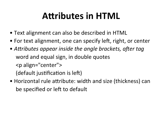## **Attributes in HTML**

- Text alignment can also be described in HTML
- For text alignment, one can specify left, right, or center
- Attributes appear inside the angle brackets, after tag word and equal sign, in double quotes <p align="center"> (default justification is left)
- Horizontal rule attribute: width and size (thickness) can be specified or left to default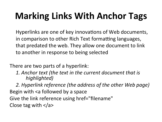# **Marking Links With Anchor Tags**

Hyperlinks are one of key innovations of Web documents, in comparison to other Rich Text formatting languages, that predated the web. They allow one document to link to another in response to being selected

There are two parts of a hyperlink:

*1. Anchor text (the text in the current document that is highlighted)* 

2. Hyperlink reference (the address of the other Web page) Begin with  $\leq a$  followed by a space Give the link reference using href="filename" Close tag with  $\langle$  a>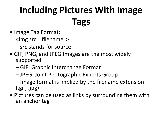# **Including Pictures With Image Tags**

- Image Tag Format:
	- <img src="filename">
	- $-$  src stands for source
- GIF, PNG, and JPEG Images are the most widely supported
	- – GIF: Graphic Interchange Format
	- $-$  JPEG: Joint Photographic Experts Group
	- $-$  Image format is implied by the filename extension  $(gif, jpg)$
- Pictures can be used as links by surrounding them with an anchor tag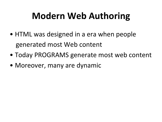## **Modern Web Authoring**

- HTML was designed in a era when people generated most Web content
- Today PROGRAMS generate most web content
- Moreover, many are dynamic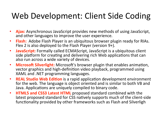#### Web Development: Client Side Coding

- **Ajax:** Asynchronous JavaScript provides new methods of using JavaScript, and other languages to improve the user experience.
- **Flash:** Adobe Flash Player is an ubiquitous browser plugin ready for RIAs. Flex 2 is also deployed to the Flash Player (version  $9+$ ).
- JavaScript: Formally called ECMAScript, JavaScript is a ubiquitous client side platform for creating and delivering rich Web applications that can also run across a wide variety of devices.
- Microsoft Silverlight: Microsoft's browser plugin that enables animation, vector graphics and high-definition video playback, programmed using XAML and .NET programming languages.
- **REAL Studio Web Edition** is a rapid application development environment for the web. The language is object oriented and is similar to both VB and Java. Applications are uniquely compiled to binary code.
- **HTML5 and CSS3 Latest HTML** proposed standard combined with the latest proposed standard for CSS natively supports much of the client-side functionality provided by other frameworks such as Flash and Silverligh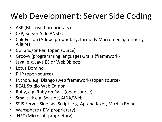#### Web Development: Server Side Coding

- ASP (Microsoft proprietary)
- CSP, Server-Side ANSI C
- ColdFusion (Adobe proprietary, formerly Macromedia, formerly Allaire)
- CGI and/or Perl (open source)
- Groovy (programming language) Grails (framework)
- Java, e.g. Java EE or WebObjects
- Lotus Domino
- PHP (open source)
- Python, e.g. Django (web framework) (open source)
- REAL Studio Web Edition
- Ruby, e.g. Ruby on Rails (open source)
- Smalltalk e.g. Seaside, AIDA/Web
- SSJS Server-Side JavaScript, e.g. Aptana Jaxer, Mozilla Rhino
- Websphere (IBM proprietary)
- .NET (Microsoft proprietary)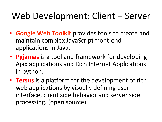#### Web Development: Client + Server

- **Google Web Toolkit** provides tools to create and maintain complex JavaScript front-end applications in Java.
- **Pyjamas** is a tool and framework for developing Ajax applications and Rich Internet Applications in python.
- Tersus is a platform for the development of rich web applications by visually defining user interface, client side behavior and server side processing. (open source)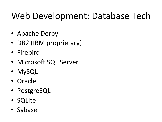## Web Development: Database Tech

- Apache Derby
- DB2 (IBM proprietary)
- Firebird
- Microsoft SQL Server
- MySQL
- Oracle
- PostgreSQL
- SQLite
- Sybase